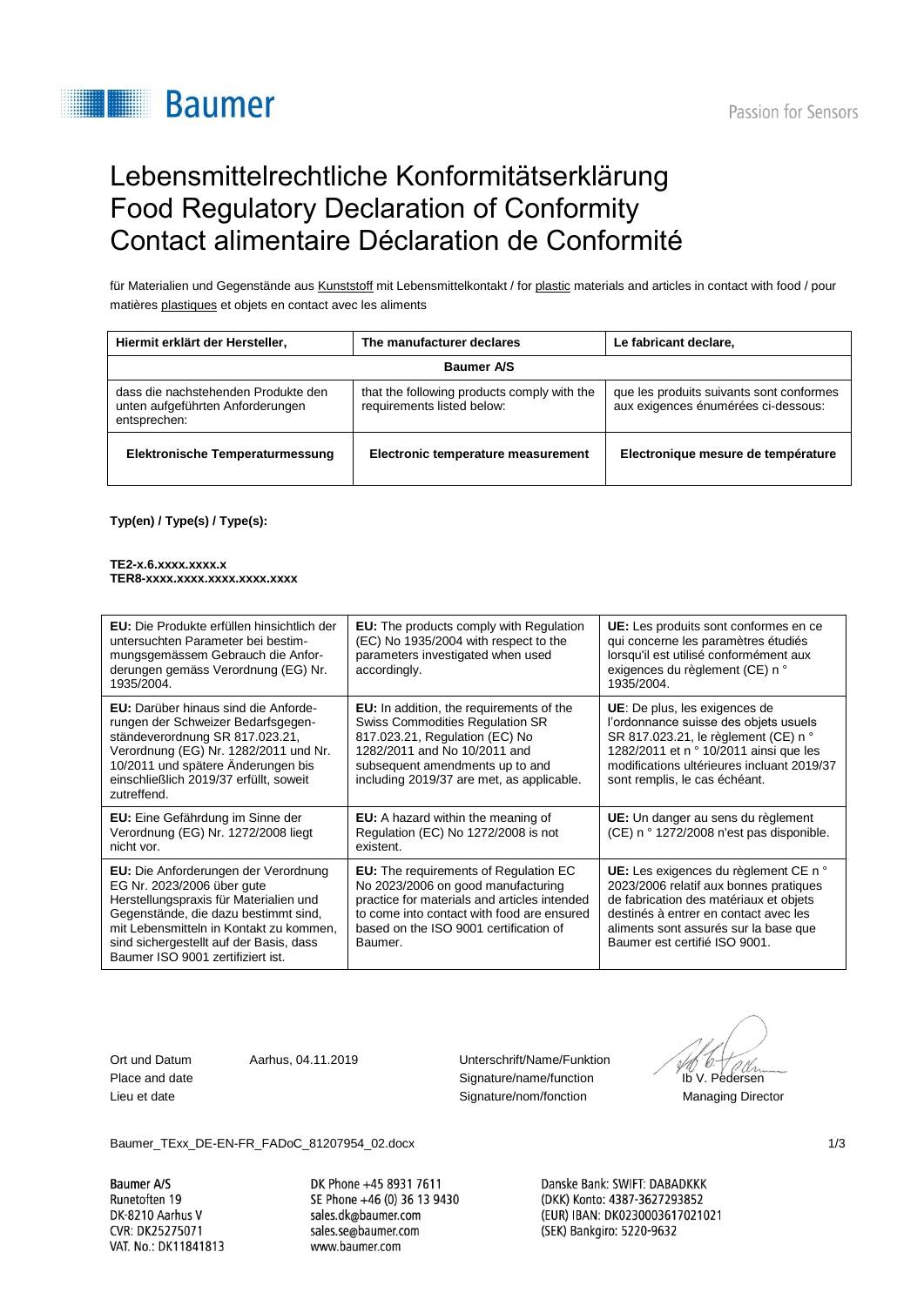# **Baumer**

## Lebensmittelrechtliche Konformitätserklärung Food Regulatory Declaration of Conformity Contact alimentaire Déclaration de Conformité

für Materialien und Gegenstände aus Kunststoff mit Lebensmittelkontakt / for plastic materials and articles in contact with food / pour matières plastiques et objets en contact avec les aliments

| Hiermit erklärt der Hersteller,                                                         | The manufacturer declares                                                 | Le fabricant declare,                                                           |  |  |
|-----------------------------------------------------------------------------------------|---------------------------------------------------------------------------|---------------------------------------------------------------------------------|--|--|
| <b>Baumer A/S</b>                                                                       |                                                                           |                                                                                 |  |  |
| dass die nachstehenden Produkte den<br>unten aufgeführten Anforderungen<br>entsprechen: | that the following products comply with the<br>requirements listed below: | que les produits suivants sont conformes<br>aux exigences énumérées ci-dessous: |  |  |
| Elektronische Temperaturmessung                                                         | Electronic temperature measurement                                        | Electronique mesure de température                                              |  |  |

**Typ(en) / Type(s) / Type(s):**

#### **TE2-x.6.xxxx.xxxx.x TER8-xxxx.xxxx.xxxx.xxxx.xxxx**

| <b>EU:</b> Die Produkte erfüllen hinsichtlich der<br>untersuchten Parameter bei bestim-<br>mungsgemässem Gebrauch die Anfor-<br>derungen gemäss Verordnung (EG) Nr.<br>1935/2004.                                                                                               | <b>EU:</b> The products comply with Regulation<br>(EC) No 1935/2004 with respect to the<br>parameters investigated when used<br>accordingly.                                                                                          | <b>UE:</b> Les produits sont conformes en ce<br>qui concerne les paramètres étudiés<br>lorsqu'il est utilisé conformément aux<br>exigences du règlement (CE) n °<br>1935/2004.                                                                 |
|---------------------------------------------------------------------------------------------------------------------------------------------------------------------------------------------------------------------------------------------------------------------------------|---------------------------------------------------------------------------------------------------------------------------------------------------------------------------------------------------------------------------------------|------------------------------------------------------------------------------------------------------------------------------------------------------------------------------------------------------------------------------------------------|
| <b>EU:</b> Darüber hinaus sind die Anforde-<br>rungen der Schweizer Bedarfsgegen-<br>ständeverordnung SR 817.023.21,<br>Verordnung (EG) Nr. 1282/2011 und Nr.<br>10/2011 und spätere Änderungen bis<br>einschließlich 2019/37 erfüllt, soweit<br>zutreffend.                    | <b>EU:</b> In addition, the requirements of the<br>Swiss Commodities Regulation SR<br>817.023.21, Regulation (EC) No<br>1282/2011 and No 10/2011 and<br>subsequent amendments up to and<br>including 2019/37 are met, as applicable.  | <b>UE:</b> De plus, les exigences de<br>l'ordonnance suisse des objets usuels<br>SR 817.023.21, le règlement (CE) n °<br>1282/2011 et n ° 10/2011 ainsi que les<br>modifications ultérieures incluant 2019/37<br>sont remplis, le cas échéant. |
| <b>EU:</b> Eine Gefährdung im Sinne der<br>Verordnung (EG) Nr. 1272/2008 liegt<br>nicht vor.                                                                                                                                                                                    | <b>EU:</b> A hazard within the meaning of<br>Regulation (EC) No 1272/2008 is not<br>existent.                                                                                                                                         | UE: Un danger au sens du règlement<br>(CE) n ° 1272/2008 n'est pas disponible.                                                                                                                                                                 |
| EU: Die Anforderungen der Verordnung<br>EG Nr. 2023/2006 über gute<br>Herstellungspraxis für Materialien und<br>Gegenstände, die dazu bestimmt sind,<br>mit Lebensmitteln in Kontakt zu kommen,<br>sind sichergestellt auf der Basis, dass<br>Baumer ISO 9001 zertifiziert ist. | <b>EU:</b> The requirements of Regulation EC<br>No 2023/2006 on good manufacturing<br>practice for materials and articles intended<br>to come into contact with food are ensured<br>based on the ISO 9001 certification of<br>Baumer. | UE: Les exigences du règlement CE n °<br>2023/2006 relatif aux bonnes pratiques<br>de fabrication des matériaux et objets<br>destinés à entrer en contact avec les<br>aliments sont assurés sur la base que<br>Baumer est certifié ISO 9001.   |

Ort und Datum Aarhus, 04.11.2019 Unterschrift/Name/Funktion Place and date **Signature/name/function** Ib V. Pedersen Lieu et date Signature/nom/fonction Managing Director

Baumer\_TExx\_DE-EN-FR\_FADoC\_81207954\_02.docx 1/3

**Baumer A/S** Runetoften 19 DK-8210 Aarhus V CVR: DK25275071 VAT. No.: DK11841813 DK Phone +45 8931 7611 SE Phone +46 (0) 36 13 9430 sales.dk@baumer.com sales.se@baumer.com www.baumer.com

Danske Bank: SWIFT: DABADKKK (DKK) Konto: 4387-3627293852 (EUR) IBAN: DK0230003617021021 (SEK) Bankgiro: 5220-9632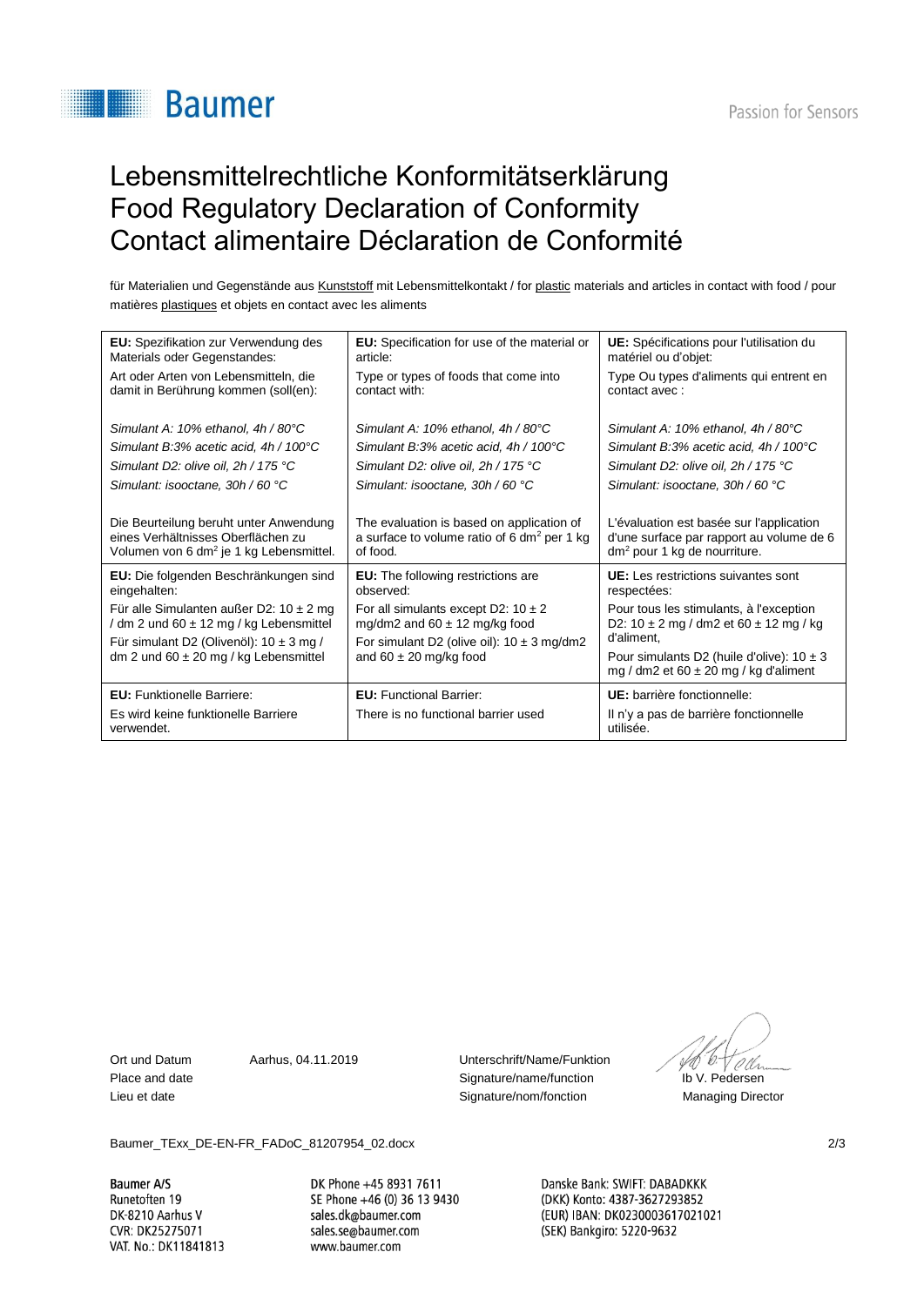# **Baumer**

## Lebensmittelrechtliche Konformitätserklärung Food Regulatory Declaration of Conformity Contact alimentaire Déclaration de Conformité

für Materialien und Gegenstände aus Kunststoff mit Lebensmittelkontakt / for plastic materials and articles in contact with food / pour matières plastiques et objets en contact avec les aliments

| <b>EU:</b> Spezifikation zur Verwendung des                                                                                                                                            | EU: Specification for use of the material or                                                                                                                 | UE: Spécifications pour l'utilisation du                                                                                                                                                              |
|----------------------------------------------------------------------------------------------------------------------------------------------------------------------------------------|--------------------------------------------------------------------------------------------------------------------------------------------------------------|-------------------------------------------------------------------------------------------------------------------------------------------------------------------------------------------------------|
| Materials oder Gegenstandes:                                                                                                                                                           | article:                                                                                                                                                     | matériel ou d'objet:                                                                                                                                                                                  |
| Art oder Arten von Lebensmitteln, die                                                                                                                                                  | Type or types of foods that come into                                                                                                                        | Type Ou types d'aliments qui entrent en                                                                                                                                                               |
| damit in Berührung kommen (soll(en):                                                                                                                                                   | contact with:                                                                                                                                                | contact avec:                                                                                                                                                                                         |
| Simulant A: $10\%$ ethanol. $4h/80^{\circ}$ C                                                                                                                                          | Simulant A: $10\%$ ethanol. $4h/80^{\circ}$ C                                                                                                                | Simulant A: $10\%$ ethanol. $4h/80^{\circ}$ C                                                                                                                                                         |
| Simulant B:3% acetic acid, 4h / 100°C                                                                                                                                                  | Simulant B:3% acetic acid, $4h/100^{\circ}$ C                                                                                                                | Simulant B:3% acetic acid, 4h / 100°C                                                                                                                                                                 |
| Simulant D2: olive oil, 2h / 175 °C                                                                                                                                                    | Simulant D2: olive oil, 2h / 175 °C                                                                                                                          | Simulant D2: olive oil, 2h / 175 °C                                                                                                                                                                   |
| Simulant: isooctane, 30h / 60 °C                                                                                                                                                       | Simulant: isooctane, 30h / 60 °C                                                                                                                             | Simulant: isooctane, 30h / 60 °C                                                                                                                                                                      |
| Die Beurteilung beruht unter Anwendung                                                                                                                                                 | The evaluation is based on application of                                                                                                                    | L'évaluation est basée sur l'application                                                                                                                                                              |
| eines Verhältnisses Oberflächen zu                                                                                                                                                     | a surface to volume ratio of 6 dm <sup>2</sup> per 1 kg                                                                                                      | d'une surface par rapport au volume de 6                                                                                                                                                              |
| Volumen von 6 dm <sup>2</sup> je 1 kg Lebensmittel.                                                                                                                                    | of food.                                                                                                                                                     | $dm2$ pour 1 kg de nourriture.                                                                                                                                                                        |
| EU: Die folgenden Beschränkungen sind                                                                                                                                                  | <b>EU:</b> The following restrictions are                                                                                                                    | <b>UE:</b> Les restrictions suivantes sont                                                                                                                                                            |
| eingehalten:                                                                                                                                                                           | observed:                                                                                                                                                    | respectées:                                                                                                                                                                                           |
| Für alle Simulanten außer D2: $10 \pm 2$ mg<br>/ dm 2 und 60 $\pm$ 12 mg / kg Lebensmittel<br>Für simulant D2 (Olivenöl): $10 \pm 3$ mg /<br>dm 2 und 60 $\pm$ 20 mg / kg Lebensmittel | For all simulants except D2: $10 \pm 2$<br>mg/dm2 and $60 \pm 12$ mg/kg food<br>For simulant D2 (olive oil): $10 \pm 3$ mg/dm2<br>and $60 \pm 20$ mg/kg food | Pour tous les stimulants, à l'exception<br>D2: $10 \pm 2$ mg / dm2 et $60 \pm 12$ mg / kg<br>d'aliment.<br>Pour simulants D2 (huile d'olive): $10 \pm 3$<br>mg / dm2 et 60 $\pm$ 20 mg / kg d'aliment |
| <b>EU:</b> Funktionelle Barriere:                                                                                                                                                      | <b>EU:</b> Functional Barrier:                                                                                                                               | UE: barrière fonctionnelle:                                                                                                                                                                           |
| Es wird keine funktionelle Barriere<br>verwendet.                                                                                                                                      | There is no functional barrier used                                                                                                                          | Il n'y a pas de barrière fonctionnelle<br>utilisée.                                                                                                                                                   |

Ort und Datum Aarhus, 04.11.2019 Unterschrift/Name/Funktion Place and date **Signature/name/function** Ib V. Pedersen Lieu et date Signature/nom/fonction Managing Director

Baumer\_TExx\_DE-EN-FR\_FADoC\_81207954\_02.docx 2/3

**Baumer A/S** Runetoften 19 DK-8210 Aarhus V CVR: DK25275071 VAT. No.: DK11841813 DK Phone +45 8931 7611 SE Phone +46 (0) 36 13 9430 sales.dk@baumer.com sales.se@baumer.com www.baumer.com

Danske Bank: SWIFT: DABADKKK (DKK) Konto: 4387-3627293852 (EUR) IBAN: DK0230003617021021 (SEK) Bankgiro: 5220-9632